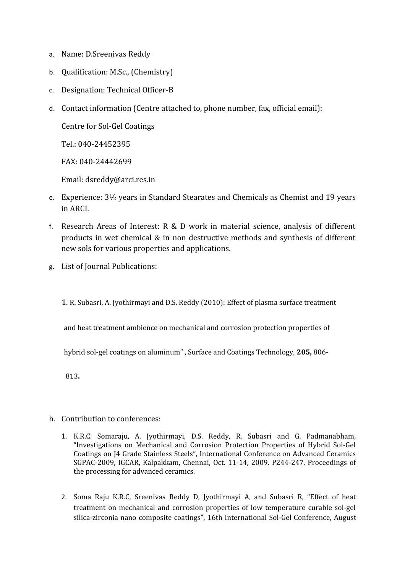- a. Name: D.Sreenivas Reddy
- b. Qualification: M.Sc., (Chemistry)
- c. Designation: Technical Officer-B
- d. Contact information (Centre attached to, phone number, fax, official email):

Centre for Sol-Gel Coatings

Tel.: 040-24452395

FAX: 040-24442699

Email: dsreddy@arci.res.in

- e. Experience: 3½ years in Standard Stearates and Chemicals as Chemist and 19 years in ARCI.
- f. Research Areas of Interest: R & D work in material science, analysis of different products in wet chemical & in non destructive methods and synthesis of different new sols for various properties and applications.
- g. List of Journal Publications:

1. R. Subasri, A. Jyothirmayi and D.S. Reddy (2010): Effect of plasma surface treatment

and heat treatment ambience on mechanical and corrosion protection properties of

hybrid sol-gel coatings on aluminum" , Surface and Coatings Technology, **205,** 806-

813**.**

- h. Contribution to conferences:
	- 1. K.R.C. Somaraju, A. Jyothirmayi, D.S. Reddy, R. Subasri and G. Padmanabham, "Investigations on Mechanical and Corrosion Protection Properties of Hybrid Sol-Gel Coatings on J4 Grade Stainless Steels", International Conference on Advanced Ceramics SGPAC-2009, IGCAR, Kalpakkam, Chennai, Oct. 11-14, 2009. P244-247, Proceedings of the processing for advanced ceramics.
	- 2. Soma Raju K.R.C, Sreenivas Reddy D, Jyothirmayi A, and Subasri R, "Effect of heat treatment on mechanical and corrosion properties of low temperature curable sol-gel silica-zirconia nano composite coatings", 16th International Sol-Gel Conference, August